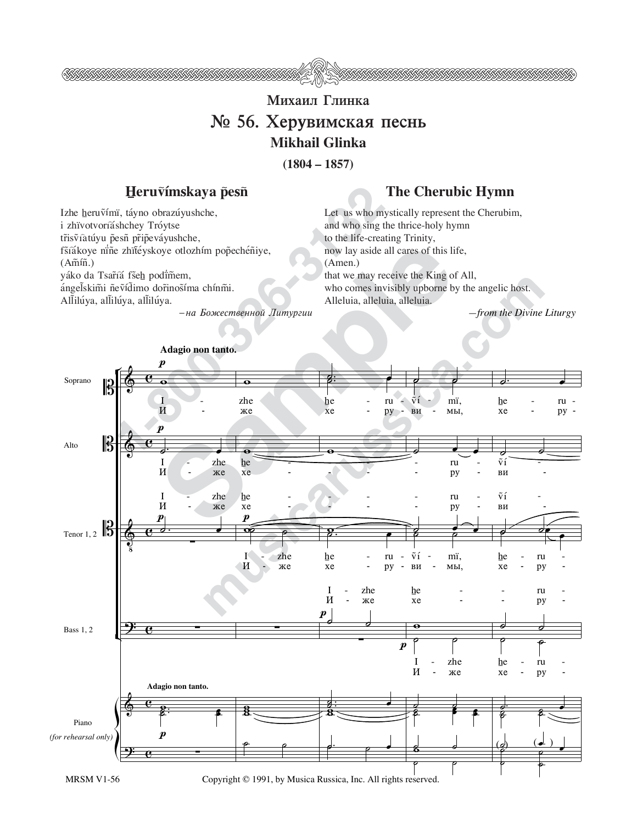

## **Михаил Глинка**  $\mathbb{N}_2$  56. Херувимская песнь **Mikhail Glinka**

**(1804 – 1857)**

## Heruṽímskaya p̃esñ The Cherubic Hymn

Izhe heruṽímï, táyno obrazúyushche, i zhïvotvoríáshchey Tróytse tr̃isṽiatúyu p̃esñ pr̃ip̃eváyushche, fšíákoye nine zhïťéyskoye otlozhím pop̃echéñiye,  $(A\tilde{m}\tilde{n})$ . yáko da Tsar̃íá fše<u>h</u> podïm̃em, ángelskimi ñeṽídimo dor̃inos̃íma chínm̃i. Allilúya, allilúya, allilúya.

 $-$ на Божественной Литургии

Let us who mystically represent the Cherubim, and who sing the thrice-holy hymn to the life-creating Trinity, now lay aside all cares of this life, (Amen.) that we may receive the King of All, who comes invisibly upborne by the angelic host. Alleluia, alleluia, alleluia.

*—from the Divine Liturgy*



MRSM V1-56 Copyright © 1991, by Musica Russica, Inc. All rights reserved.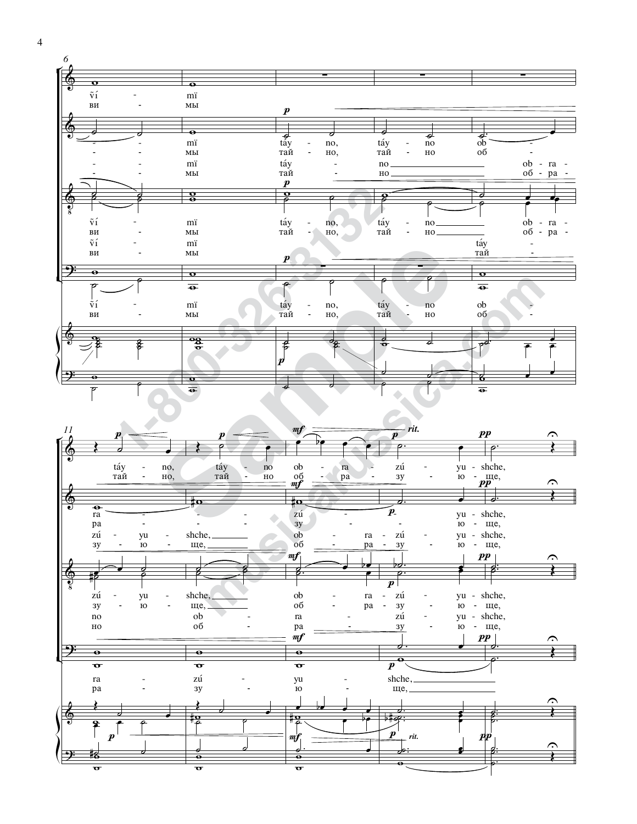



 $\overline{4}$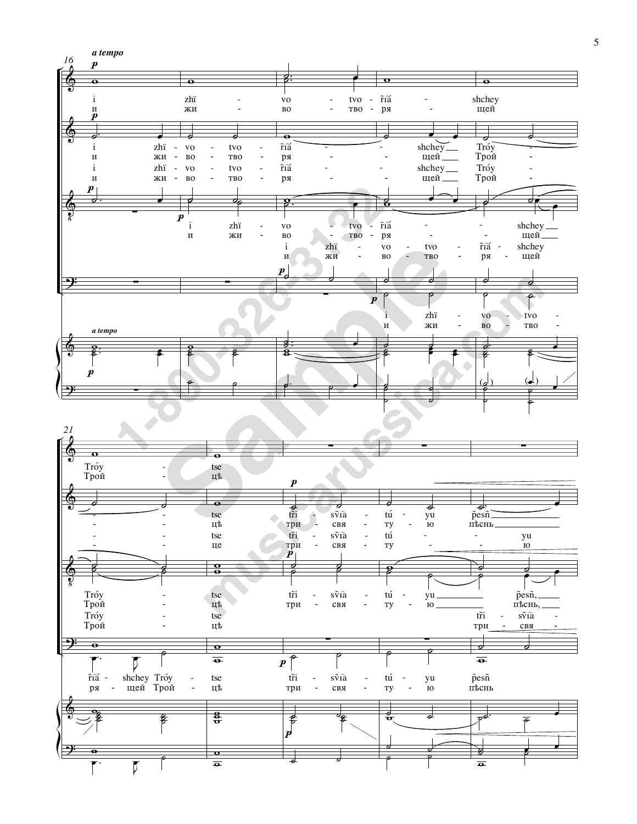

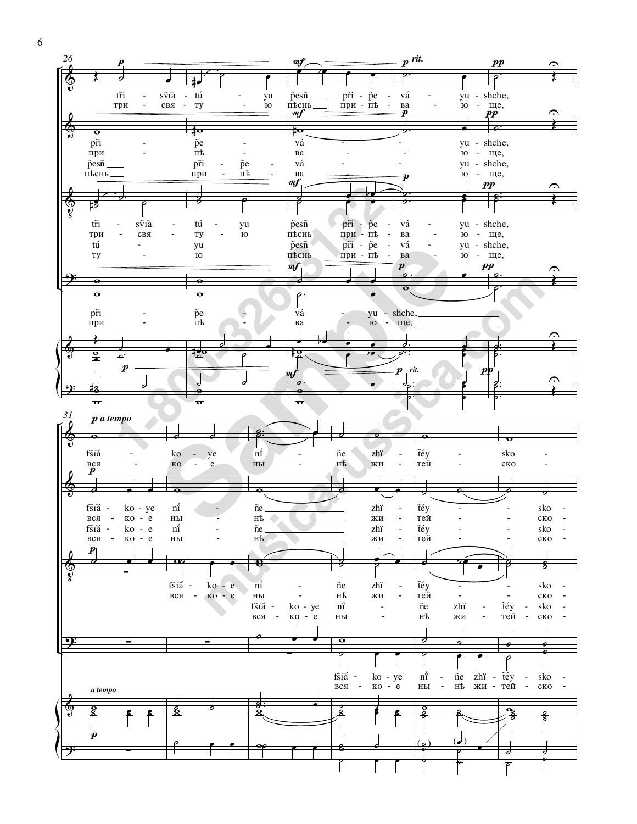

6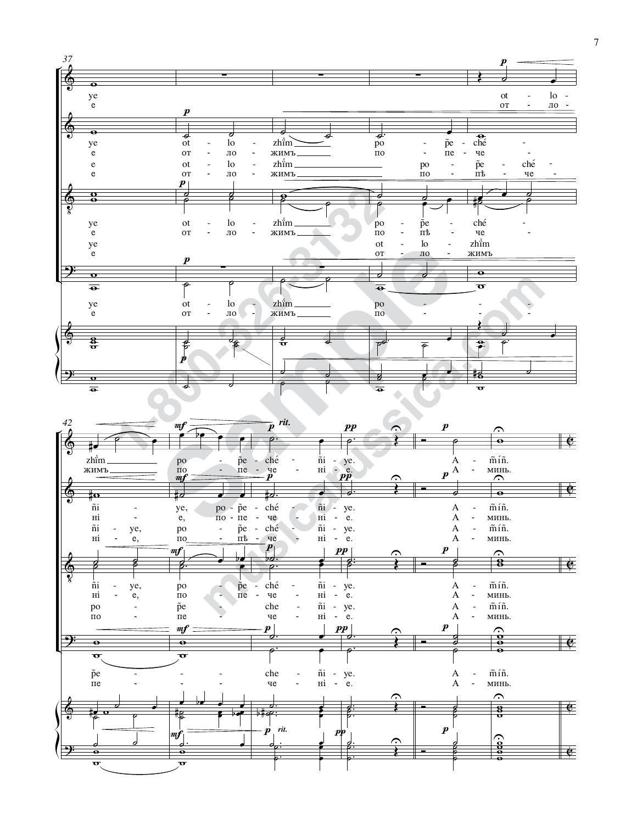

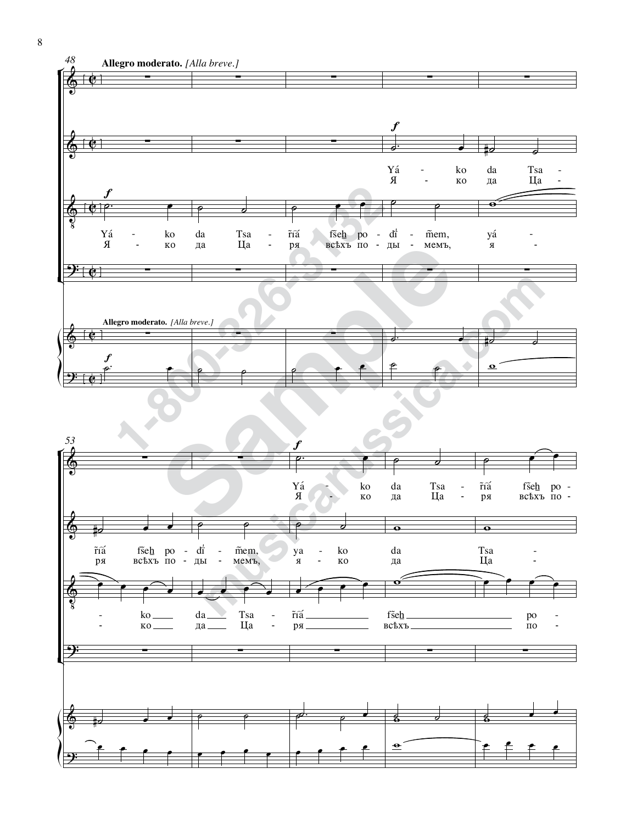

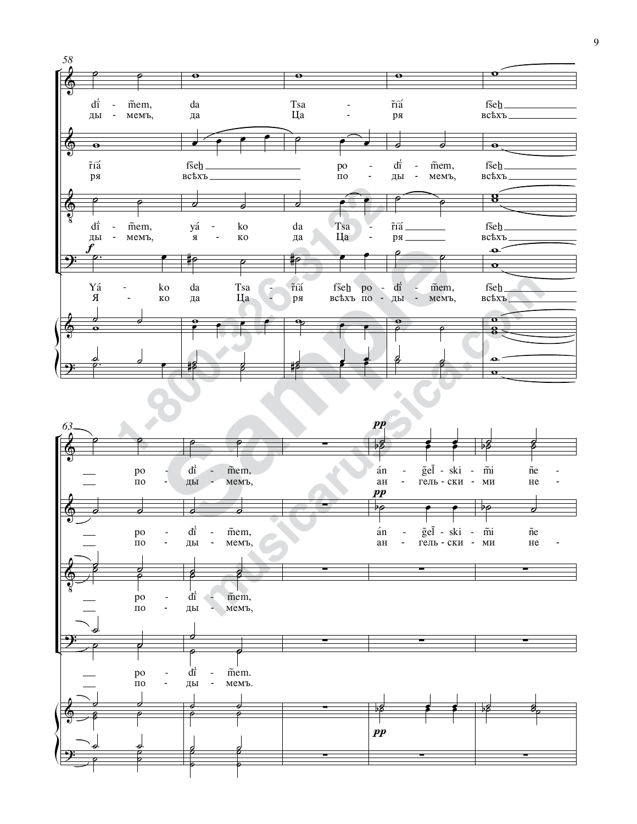